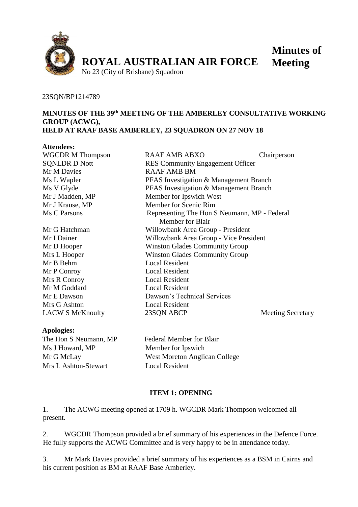

#### 23SQN/BP1214789

#### **MINUTES OF THE 39th MEETING OF THE AMBERLEY CONSULTATIVE WORKING GROUP (ACWG), HELD AT RAAF BASE AMBERLEY, 23 SQUADRON ON 27 NOV 18**

| <b>Attendees:</b>       |                                              |                          |
|-------------------------|----------------------------------------------|--------------------------|
| <b>WGCDR M Thompson</b> | <b>RAAF AMB ABXO</b>                         | Chairperson              |
| <b>SQNLDR D Nott</b>    | <b>RES Community Engagement Officer</b>      |                          |
| Mr M Davies             | <b>RAAF AMB BM</b>                           |                          |
| Ms L Wapler             | PFAS Investigation & Management Branch       |                          |
| Ms V Glyde              | PFAS Investigation & Management Branch       |                          |
| Mr J Madden, MP         | Member for Ipswich West                      |                          |
| Mr J Krause, MP         | Member for Scenic Rim                        |                          |
| Ms C Parsons            | Representing The Hon S Neumann, MP - Federal |                          |
|                         | Member for Blair                             |                          |
| Mr G Hatchman           | Willowbank Area Group - President            |                          |
| Mr I Dainer             | Willowbank Area Group - Vice President       |                          |
| Mr D Hooper             | <b>Winston Glades Community Group</b>        |                          |
| Mrs L Hooper            | <b>Winston Glades Community Group</b>        |                          |
| Mr B Behm               | <b>Local Resident</b>                        |                          |
| Mr P Conroy             | <b>Local Resident</b>                        |                          |
| Mrs R Conroy            | <b>Local Resident</b>                        |                          |
| Mr M Goddard            | <b>Local Resident</b>                        |                          |
| Mr E Dawson             | Dawson's Technical Services                  |                          |
| Mrs G Ashton            | <b>Local Resident</b>                        |                          |
| <b>LACW S McKnoulty</b> | 23SQN ABCP                                   | <b>Meeting Secretary</b> |
|                         |                                              |                          |

#### **Apologies:**

Ms J Howard, MP Member for Ipswich Mrs L Ashton-Stewart Local Resident

The Hon S Neumann, MP Federal Member for Blair Mr G McLay West Moreton Anglican College

## **ITEM 1: OPENING**

1. The ACWG meeting opened at 1709 h. WGCDR Mark Thompson welcomed all present.

2. WGCDR Thompson provided a brief summary of his experiences in the Defence Force. He fully supports the ACWG Committee and is very happy to be in attendance today.

3. Mr Mark Davies provided a brief summary of his experiences as a BSM in Cairns and his current position as BM at RAAF Base Amberley.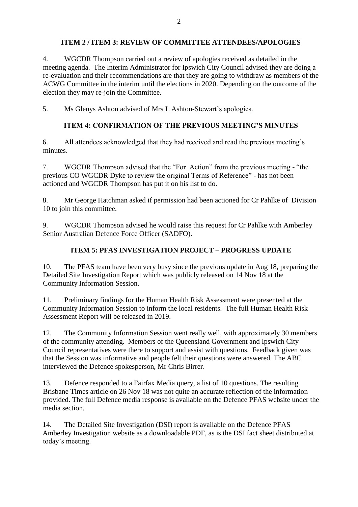## **ITEM 2 / ITEM 3: REVIEW OF COMMITTEE ATTENDEES/APOLOGIES**

4. WGCDR Thompson carried out a review of apologies received as detailed in the meeting agenda. The Interim Administrator for Ipswich City Council advised they are doing a re-evaluation and their recommendations are that they are going to withdraw as members of the ACWG Committee in the interim until the elections in 2020. Depending on the outcome of the election they may re-join the Committee.

5. Ms Glenys Ashton advised of Mrs L Ashton-Stewart's apologies.

## **ITEM 4: CONFIRMATION OF THE PREVIOUS MEETING'S MINUTES**

6. All attendees acknowledged that they had received and read the previous meeting's minutes.

7. WGCDR Thompson advised that the "For Action" from the previous meeting - "the previous CO WGCDR Dyke to review the original Terms of Reference" - has not been actioned and WGCDR Thompson has put it on his list to do.

8. Mr George Hatchman asked if permission had been actioned for Cr Pahlke of Division 10 to join this committee.

9. WGCDR Thompson advised he would raise this request for Cr Pahlke with Amberley Senior Australian Defence Force Officer (SADFO).

## **ITEM 5: PFAS INVESTIGATION PROJECT – PROGRESS UPDATE**

10. The PFAS team have been very busy since the previous update in Aug 18, preparing the Detailed Site Investigation Report which was publicly released on 14 Nov 18 at the Community Information Session.

11. Preliminary findings for the Human Health Risk Assessment were presented at the Community Information Session to inform the local residents. The full Human Health Risk Assessment Report will be released in 2019.

12. The Community Information Session went really well, with approximately 30 members of the community attending. Members of the Queensland Government and Ipswich City Council representatives were there to support and assist with questions. Feedback given was that the Session was informative and people felt their questions were answered. The ABC interviewed the Defence spokesperson, Mr Chris Birrer.

13. Defence responded to a Fairfax Media query, a list of 10 questions. The resulting Brisbane Times article on 26 Nov 18 was not quite an accurate reflection of the information provided. The full Defence media response is available on the Defence PFAS website under the media section.

14. The Detailed Site Investigation (DSI) report is available on the Defence PFAS Amberley Investigation website as a downloadable PDF, as is the DSI fact sheet distributed at today's meeting.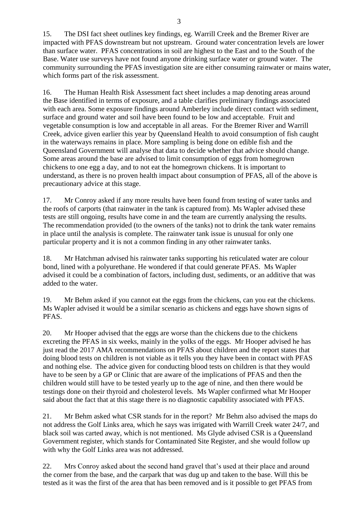15. The DSI fact sheet outlines key findings, eg. Warrill Creek and the Bremer River are impacted with PFAS downstream but not upstream. Ground water concentration levels are lower than surface water. PFAS concentrations in soil are highest to the East and to the South of the Base. Water use surveys have not found anyone drinking surface water or ground water. The community surrounding the PFAS investigation site are either consuming rainwater or mains water, which forms part of the risk assessment.

16. The Human Health Risk Assessment fact sheet includes a map denoting areas around the Base identified in terms of exposure, and a table clarifies preliminary findings associated with each area. Some exposure findings around Amberley include direct contact with sediment, surface and ground water and soil have been found to be low and acceptable. Fruit and vegetable consumption is low and acceptable in all areas. For the Bremer River and Warrill Creek, advice given earlier this year by Queensland Health to avoid consumption of fish caught in the waterways remains in place. More sampling is being done on edible fish and the Queensland Government will analyse that data to decide whether that advice should change. Some areas around the base are advised to limit consumption of eggs from homegrown chickens to one egg a day, and to not eat the homegrown chickens. It is important to understand, as there is no proven health impact about consumption of PFAS, all of the above is precautionary advice at this stage.

17. Mr Conroy asked if any more results have been found from testing of water tanks and the roofs of carports (that rainwater in the tank is captured from). Ms Wapler advised these tests are still ongoing, results have come in and the team are currently analysing the results. The recommendation provided (to the owners of the tanks) not to drink the tank water remains in place until the analysis is complete. The rainwater tank issue is unusual for only one particular property and it is not a common finding in any other rainwater tanks.

18. Mr Hatchman advised his rainwater tanks supporting his reticulated water are colour bond, lined with a polyurethane. He wondered if that could generate PFAS. Ms Wapler advised it could be a combination of factors, including dust, sediments, or an additive that was added to the water.

19. Mr Behm asked if you cannot eat the eggs from the chickens, can you eat the chickens. Ms Wapler advised it would be a similar scenario as chickens and eggs have shown signs of PFAS.

20. Mr Hooper advised that the eggs are worse than the chickens due to the chickens excreting the PFAS in six weeks, mainly in the yolks of the eggs. Mr Hooper advised he has just read the 2017 AMA recommendations on PFAS about children and the report states that doing blood tests on children is not viable as it tells you they have been in contact with PFAS and nothing else. The advice given for conducting blood tests on children is that they would have to be seen by a GP or Clinic that are aware of the implications of PFAS and then the children would still have to be tested yearly up to the age of nine, and then there would be testings done on their thyroid and cholesterol levels. Ms Wapler confirmed what Mr Hooper said about the fact that at this stage there is no diagnostic capability associated with PFAS.

21. Mr Behm asked what CSR stands for in the report? Mr Behm also advised the maps do not address the Golf Links area, which he says was irrigated with Warrill Creek water 24/7, and black soil was carted away, which is not mentioned. Ms Glyde advised CSR is a Queensland Government register, which stands for Contaminated Site Register, and she would follow up with why the Golf Links area was not addressed.

22. Mrs Conroy asked about the second hand gravel that's used at their place and around the corner from the base, and the carpark that was dug up and taken to the base. Will this be tested as it was the first of the area that has been removed and is it possible to get PFAS from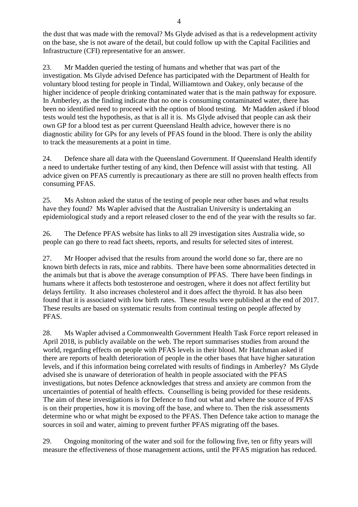the dust that was made with the removal? Ms Glyde advised as that is a redevelopment activity on the base, she is not aware of the detail, but could follow up with the Capital Facilities and Infrastructure (CFI) representative for an answer.

23. Mr Madden queried the testing of humans and whether that was part of the investigation. Ms Glyde advised Defence has participated with the Department of Health for voluntary blood testing for people in Tindal, Williamtown and Oakey, only because of the higher incidence of people drinking contaminated water that is the main pathway for exposure. In Amberley, as the finding indicate that no one is consuming contaminated water, there has been no identified need to proceed with the option of blood testing. Mr Madden asked if blood tests would test the hypothesis, as that is all it is. Ms Glyde advised that people can ask their own GP for a blood test as per current Queensland Health advice, however there is no diagnostic ability for GPs for any levels of PFAS found in the blood. There is only the ability to track the measurements at a point in time.

24. Defence share all data with the Queensland Government. If Queensland Health identify a need to undertake further testing of any kind, then Defence will assist with that testing. All advice given on PFAS currently is precautionary as there are still no proven health effects from consuming PFAS.

25. Ms Ashton asked the status of the testing of people near other bases and what results have they found? Ms Wapler advised that the Australian University is undertaking an epidemiological study and a report released closer to the end of the year with the results so far.

26. The Defence PFAS website has links to all 29 investigation sites Australia wide, so people can go there to read fact sheets, reports, and results for selected sites of interest.

27. Mr Hooper advised that the results from around the world done so far, there are no known birth defects in rats, mice and rabbits. There have been some abnormalities detected in the animals but that is above the average consumption of PFAS. There have been findings in humans where it affects both testosterone and oestrogen, where it does not affect fertility but delays fertility. It also increases cholesterol and it does affect the thyroid. It has also been found that it is associated with low birth rates. These results were published at the end of 2017. These results are based on systematic results from continual testing on people affected by PFAS.

28. Ms Wapler advised a Commonwealth Government Health Task Force report released in April 2018, is publicly available on the web. The report summarises studies from around the world, regarding effects on people with PFAS levels in their blood. Mr Hatchman asked if there are reports of health deterioration of people in the other bases that have higher saturation levels, and if this information being correlated with results of findings in Amberley? Ms Glyde advised she is unaware of deterioration of health in people associated with the PFAS investigations, but notes Defence acknowledges that stress and anxiety are common from the uncertainties of potential of health effects. Counselling is being provided for these residents. The aim of these investigations is for Defence to find out what and where the source of PFAS is on their properties, how it is moving off the base, and where to. Then the risk assessments determine who or what might be exposed to the PFAS. Then Defence take action to manage the sources in soil and water, aiming to prevent further PFAS migrating off the bases.

29. Ongoing monitoring of the water and soil for the following five, ten or fifty years will measure the effectiveness of those management actions, until the PFAS migration has reduced.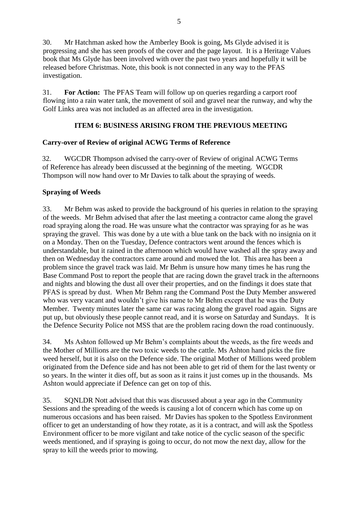30. Mr Hatchman asked how the Amberley Book is going, Ms Glyde advised it is progressing and she has seen proofs of the cover and the page layout. It is a Heritage Values book that Ms Glyde has been involved with over the past two years and hopefully it will be released before Christmas. Note, this book is not connected in any way to the PFAS investigation.

31. **For Action:** The PFAS Team will follow up on queries regarding a carport roof flowing into a rain water tank, the movement of soil and gravel near the runway, and why the Golf Links area was not included as an affected area in the investigation.

#### **ITEM 6: BUSINESS ARISING FROM THE PREVIOUS MEETING**

#### **Carry-over of Review of original ACWG Terms of Reference**

32. WGCDR Thompson advised the carry-over of Review of original ACWG Terms of Reference has already been discussed at the beginning of the meeting. WGCDR Thompson will now hand over to Mr Davies to talk about the spraying of weeds.

#### **Spraying of Weeds**

33. Mr Behm was asked to provide the background of his queries in relation to the spraying of the weeds. Mr Behm advised that after the last meeting a contractor came along the gravel road spraying along the road. He was unsure what the contractor was spraying for as he was spraying the gravel. This was done by a ute with a blue tank on the back with no insignia on it on a Monday. Then on the Tuesday, Defence contractors went around the fences which is understandable, but it rained in the afternoon which would have washed all the spray away and then on Wednesday the contractors came around and mowed the lot. This area has been a problem since the gravel track was laid. Mr Behm is unsure how many times he has rung the Base Command Post to report the people that are racing down the gravel track in the afternoons and nights and blowing the dust all over their properties, and on the findings it does state that PFAS is spread by dust. When Mr Behm rang the Command Post the Duty Member answered who was very vacant and wouldn't give his name to Mr Behm except that he was the Duty Member. Twenty minutes later the same car was racing along the gravel road again. Signs are put up, but obviously these people cannot read, and it is worse on Saturday and Sundays. It is the Defence Security Police not MSS that are the problem racing down the road continuously.

34. Ms Ashton followed up Mr Behm's complaints about the weeds, as the fire weeds and the Mother of Millions are the two toxic weeds to the cattle. Ms Ashton hand picks the fire weed herself, but it is also on the Defence side. The original Mother of Millions weed problem originated from the Defence side and has not been able to get rid of them for the last twenty or so years. In the winter it dies off, but as soon as it rains it just comes up in the thousands. Ms Ashton would appreciate if Defence can get on top of this.

35. SQNLDR Nott advised that this was discussed about a year ago in the Community Sessions and the spreading of the weeds is causing a lot of concern which has come up on numerous occasions and has been raised. Mr Davies has spoken to the Spotless Environment officer to get an understanding of how they rotate, as it is a contract, and will ask the Spotless Environment officer to be more vigilant and take notice of the cyclic season of the specific weeds mentioned, and if spraying is going to occur, do not mow the next day, allow for the spray to kill the weeds prior to mowing.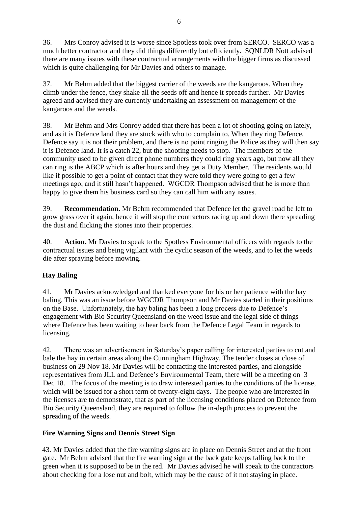6

36. Mrs Conroy advised it is worse since Spotless took over from SERCO. SERCO was a much better contractor and they did things differently but efficiently. SQNLDR Nott advised there are many issues with these contractual arrangements with the bigger firms as discussed which is quite challenging for Mr Davies and others to manage.

37. Mr Behm added that the biggest carrier of the weeds are the kangaroos. When they climb under the fence, they shake all the seeds off and hence it spreads further. Mr Davies agreed and advised they are currently undertaking an assessment on management of the kangaroos and the weeds.

38. Mr Behm and Mrs Conroy added that there has been a lot of shooting going on lately, and as it is Defence land they are stuck with who to complain to. When they ring Defence, Defence say it is not their problem, and there is no point ringing the Police as they will then say it is Defence land. It is a catch 22, but the shooting needs to stop. The members of the community used to be given direct phone numbers they could ring years ago, but now all they can ring is the ABCP which is after hours and they get a Duty Member. The residents would like if possible to get a point of contact that they were told they were going to get a few meetings ago, and it still hasn't happened. WGCDR Thompson advised that he is more than happy to give them his business card so they can call him with any issues.

39. **Recommendation.** Mr Behm recommended that Defence let the gravel road be left to grow grass over it again, hence it will stop the contractors racing up and down there spreading the dust and flicking the stones into their properties.

40. **Action.** Mr Davies to speak to the Spotless Environmental officers with regards to the contractual issues and being vigilant with the cyclic season of the weeds, and to let the weeds die after spraying before mowing.

# **Hay Baling**

41. Mr Davies acknowledged and thanked everyone for his or her patience with the hay baling. This was an issue before WGCDR Thompson and Mr Davies started in their positions on the Base. Unfortunately, the hay baling has been a long process due to Defence's engagement with Bio Security Queensland on the weed issue and the legal side of things where Defence has been waiting to hear back from the Defence Legal Team in regards to licensing.

42. There was an advertisement in Saturday's paper calling for interested parties to cut and bale the hay in certain areas along the Cunningham Highway. The tender closes at close of business on 29 Nov 18. Mr Davies will be contacting the interested parties, and alongside representatives from JLL and Defence's Environmental Team, there will be a meeting on 3 Dec 18. The focus of the meeting is to draw interested parties to the conditions of the license, which will be issued for a short term of twenty-eight days. The people who are interested in the licenses are to demonstrate, that as part of the licensing conditions placed on Defence from Bio Security Queensland, they are required to follow the in-depth process to prevent the spreading of the weeds.

## **Fire Warning Signs and Dennis Street Sign**

43. Mr Davies added that the fire warning signs are in place on Dennis Street and at the front gate. Mr Behm advised that the fire warning sign at the back gate keeps falling back to the green when it is supposed to be in the red. Mr Davies advised he will speak to the contractors about checking for a lose nut and bolt, which may be the cause of it not staying in place.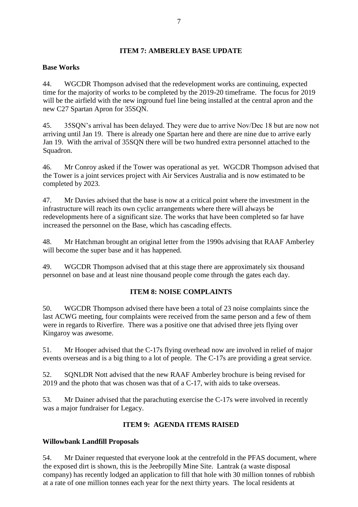## **ITEM 7: AMBERLEY BASE UPDATE**

#### **Base Works**

44. WGCDR Thompson advised that the redevelopment works are continuing, expected time for the majority of works to be completed by the 2019-20 timeframe. The focus for 2019 will be the airfield with the new inground fuel line being installed at the central apron and the new C27 Spartan Apron for 35SQN.

45. 35SQN's arrival has been delayed. They were due to arrive Nov/Dec 18 but are now not arriving until Jan 19. There is already one Spartan here and there are nine due to arrive early Jan 19. With the arrival of 35SQN there will be two hundred extra personnel attached to the Squadron.

46. Mr Conroy asked if the Tower was operational as yet. WGCDR Thompson advised that the Tower is a joint services project with Air Services Australia and is now estimated to be completed by 2023.

47. Mr Davies advised that the base is now at a critical point where the investment in the infrastructure will reach its own cyclic arrangements where there will always be redevelopments here of a significant size. The works that have been completed so far have increased the personnel on the Base, which has cascading effects.

48. Mr Hatchman brought an original letter from the 1990s advising that RAAF Amberley will become the super base and it has happened.

49. WGCDR Thompson advised that at this stage there are approximately six thousand personnel on base and at least nine thousand people come through the gates each day.

## **ITEM 8: NOISE COMPLAINTS**

50. WGCDR Thompson advised there have been a total of 23 noise complaints since the last ACWG meeting, four complaints were received from the same person and a few of them were in regards to Riverfire. There was a positive one that advised three jets flying over Kingaroy was awesome.

51. Mr Hooper advised that the C-17s flying overhead now are involved in relief of major events overseas and is a big thing to a lot of people. The C-17s are providing a great service.

52. SQNLDR Nott advised that the new RAAF Amberley brochure is being revised for 2019 and the photo that was chosen was that of a C-17, with aids to take overseas.

53. Mr Dainer advised that the parachuting exercise the C-17s were involved in recently was a major fundraiser for Legacy.

## **ITEM 9: AGENDA ITEMS RAISED**

#### **Willowbank Landfill Proposals**

54. Mr Dainer requested that everyone look at the centrefold in the PFAS document, where the exposed dirt is shown, this is the Jeebropilly Mine Site. Lantrak (a waste disposal company) has recently lodged an application to fill that hole with 30 million tonnes of rubbish at a rate of one million tonnes each year for the next thirty years. The local residents at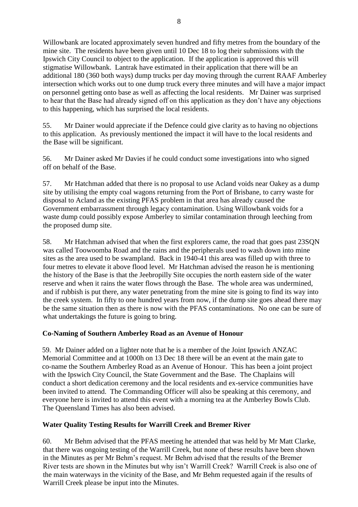Willowbank are located approximately seven hundred and fifty metres from the boundary of the mine site. The residents have been given until 10 Dec 18 to log their submissions with the Ipswich City Council to object to the application. If the application is approved this will stigmatise Willowbank. Lantrak have estimated in their application that there will be an additional 180 (360 both ways) dump trucks per day moving through the current RAAF Amberley intersection which works out to one dump truck every three minutes and will have a major impact on personnel getting onto base as well as affecting the local residents. Mr Dainer was surprised to hear that the Base had already signed off on this application as they don't have any objections to this happening, which has surprised the local residents.

55. Mr Dainer would appreciate if the Defence could give clarity as to having no objections to this application. As previously mentioned the impact it will have to the local residents and the Base will be significant.

56. Mr Dainer asked Mr Davies if he could conduct some investigations into who signed off on behalf of the Base.

57. Mr Hatchman added that there is no proposal to use Acland voids near Oakey as a dump site by utilising the empty coal wagons returning from the Port of Brisbane, to carry waste for disposal to Acland as the existing PFAS problem in that area has already caused the Government embarrassment through legacy contamination. Using Willowbank voids for a waste dump could possibly expose Amberley to similar contamination through leeching from the proposed dump site.

58. Mr Hatchman advised that when the first explorers came, the road that goes past 23SQN was called Toowoomba Road and the rains and the peripherals used to wash down into mine sites as the area used to be swampland. Back in 1940-41 this area was filled up with three to four metres to elevate it above flood level. Mr Hatchman advised the reason he is mentioning the history of the Base is that the Jeebropilly Site occupies the north eastern side of the water reserve and when it rains the water flows through the Base. The whole area was undermined, and if rubbish is put there, any water penetrating from the mine site is going to find its way into the creek system. In fifty to one hundred years from now, if the dump site goes ahead there may be the same situation then as there is now with the PFAS contaminations. No one can be sure of what undertakings the future is going to bring.

## **Co-Naming of Southern Amberley Road as an Avenue of Honour**

59. Mr Dainer added on a lighter note that he is a member of the Joint Ipswich ANZAC Memorial Committee and at 1000h on 13 Dec 18 there will be an event at the main gate to co-name the Southern Amberley Road as an Avenue of Honour. This has been a joint project with the Ipswich City Council, the State Government and the Base. The Chaplains will conduct a short dedication ceremony and the local residents and ex-service communities have been invited to attend. The Commanding Officer will also be speaking at this ceremony, and everyone here is invited to attend this event with a morning tea at the Amberley Bowls Club. The Queensland Times has also been advised.

## **Water Quality Testing Results for Warrill Creek and Bremer River**

60. Mr Behm advised that the PFAS meeting he attended that was held by Mr Matt Clarke, that there was ongoing testing of the Warrill Creek, but none of these results have been shown in the Minutes as per Mr Behm's request. Mr Behm advised that the results of the Bremer River tests are shown in the Minutes but why isn't Warrill Creek? Warrill Creek is also one of the main waterways in the vicinity of the Base, and Mr Behm requested again if the results of Warrill Creek please be input into the Minutes.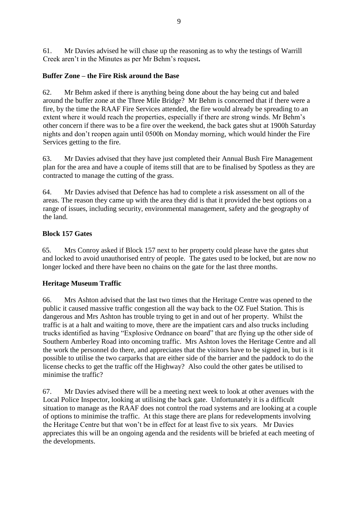61. Mr Davies advised he will chase up the reasoning as to why the testings of Warrill Creek aren't in the Minutes as per Mr Behm's request**.**

#### **Buffer Zone – the Fire Risk around the Base**

62. Mr Behm asked if there is anything being done about the hay being cut and baled around the buffer zone at the Three Mile Bridge? Mr Behm is concerned that if there were a fire, by the time the RAAF Fire Services attended, the fire would already be spreading to an extent where it would reach the properties, especially if there are strong winds. Mr Behm's other concern if there was to be a fire over the weekend, the back gates shut at 1900h Saturday nights and don't reopen again until 0500h on Monday morning, which would hinder the Fire Services getting to the fire.

63. Mr Davies advised that they have just completed their Annual Bush Fire Management plan for the area and have a couple of items still that are to be finalised by Spotless as they are contracted to manage the cutting of the grass.

64. Mr Davies advised that Defence has had to complete a risk assessment on all of the areas. The reason they came up with the area they did is that it provided the best options on a range of issues, including security, environmental management, safety and the geography of the land.

## **Block 157 Gates**

65. Mrs Conroy asked if Block 157 next to her property could please have the gates shut and locked to avoid unauthorised entry of people. The gates used to be locked, but are now no longer locked and there have been no chains on the gate for the last three months.

## **Heritage Museum Traffic**

66. Mrs Ashton advised that the last two times that the Heritage Centre was opened to the public it caused massive traffic congestion all the way back to the OZ Fuel Station. This is dangerous and Mrs Ashton has trouble trying to get in and out of her property. Whilst the traffic is at a halt and waiting to move, there are the impatient cars and also trucks including trucks identified as having "Explosive Ordnance on board" that are flying up the other side of Southern Amberley Road into oncoming traffic. Mrs Ashton loves the Heritage Centre and all the work the personnel do there, and appreciates that the visitors have to be signed in, but is it possible to utilise the two carparks that are either side of the barrier and the paddock to do the license checks to get the traffic off the Highway? Also could the other gates be utilised to minimise the traffic?

67. Mr Davies advised there will be a meeting next week to look at other avenues with the Local Police Inspector, looking at utilising the back gate. Unfortunately it is a difficult situation to manage as the RAAF does not control the road systems and are looking at a couple of options to minimise the traffic. At this stage there are plans for redevelopments involving the Heritage Centre but that won't be in effect for at least five to six years. Mr Davies appreciates this will be an ongoing agenda and the residents will be briefed at each meeting of the developments.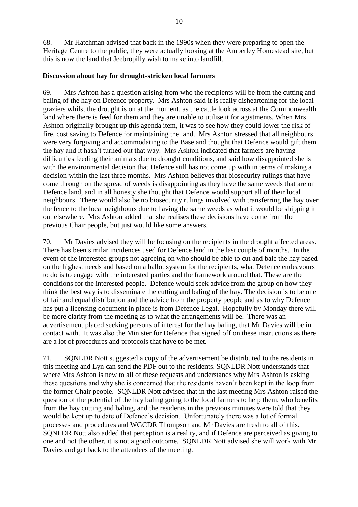68. Mr Hatchman advised that back in the 1990s when they were preparing to open the Heritage Centre to the public, they were actually looking at the Amberley Homestead site, but this is now the land that Jeebropilly wish to make into landfill.

#### **Discussion about hay for drought-stricken local farmers**

69. Mrs Ashton has a question arising from who the recipients will be from the cutting and baling of the hay on Defence property. Mrs Ashton said it is really disheartening for the local graziers whilst the drought is on at the moment, as the cattle look across at the Commonwealth land where there is feed for them and they are unable to utilise it for agistments. When Mrs Ashton originally brought up this agenda item, it was to see how they could lower the risk of fire, cost saving to Defence for maintaining the land. Mrs Ashton stressed that all neighbours were very forgiving and accommodating to the Base and thought that Defence would gift them the hay and it hasn't turned out that way. Mrs Ashton indicated that farmers are having difficulties feeding their animals due to drought conditions, and said how disappointed she is with the environmental decision that Defence still has not come up with in terms of making a decision within the last three months. Mrs Ashton believes that biosecurity rulings that have come through on the spread of weeds is disappointing as they have the same weeds that are on Defence land, and in all honesty she thought that Defence would support all of their local neighbours. There would also be no biosecurity rulings involved with transferring the hay over the fence to the local neighbours due to having the same weeds as what it would be shipping it out elsewhere. Mrs Ashton added that she realises these decisions have come from the previous Chair people, but just would like some answers.

70. Mr Davies advised they will be focusing on the recipients in the drought affected areas. There has been similar incidences used for Defence land in the last couple of months. In the event of the interested groups not agreeing on who should be able to cut and bale the hay based on the highest needs and based on a ballot system for the recipients, what Defence endeavours to do is to engage with the interested parties and the framework around that. These are the conditions for the interested people. Defence would seek advice from the group on how they think the best way is to disseminate the cutting and baling of the hay. The decision is to be one of fair and equal distribution and the advice from the property people and as to why Defence has put a licensing document in place is from Defence Legal. Hopefully by Monday there will be more clarity from the meeting as to what the arrangements will be. There was an advertisement placed seeking persons of interest for the hay baling, that Mr Davies will be in contact with. It was also the Minister for Defence that signed off on these instructions as there are a lot of procedures and protocols that have to be met.

71. SQNLDR Nott suggested a copy of the advertisement be distributed to the residents in this meeting and Lyn can send the PDF out to the residents. SQNLDR Nott understands that where Mrs Ashton is new to all of these requests and understands why Mrs Ashton is asking these questions and why she is concerned that the residents haven't been kept in the loop from the former Chair people. SQNLDR Nott advised that in the last meeting Mrs Ashton raised the question of the potential of the hay baling going to the local farmers to help them, who benefits from the hay cutting and baling, and the residents in the previous minutes were told that they would be kept up to date of Defence's decision. Unfortunately there was a lot of formal processes and procedures and WGCDR Thompson and Mr Davies are fresh to all of this. SQNLDR Nott also added that perception is a reality, and if Defence are perceived as giving to one and not the other, it is not a good outcome. SQNLDR Nott advised she will work with Mr Davies and get back to the attendees of the meeting.